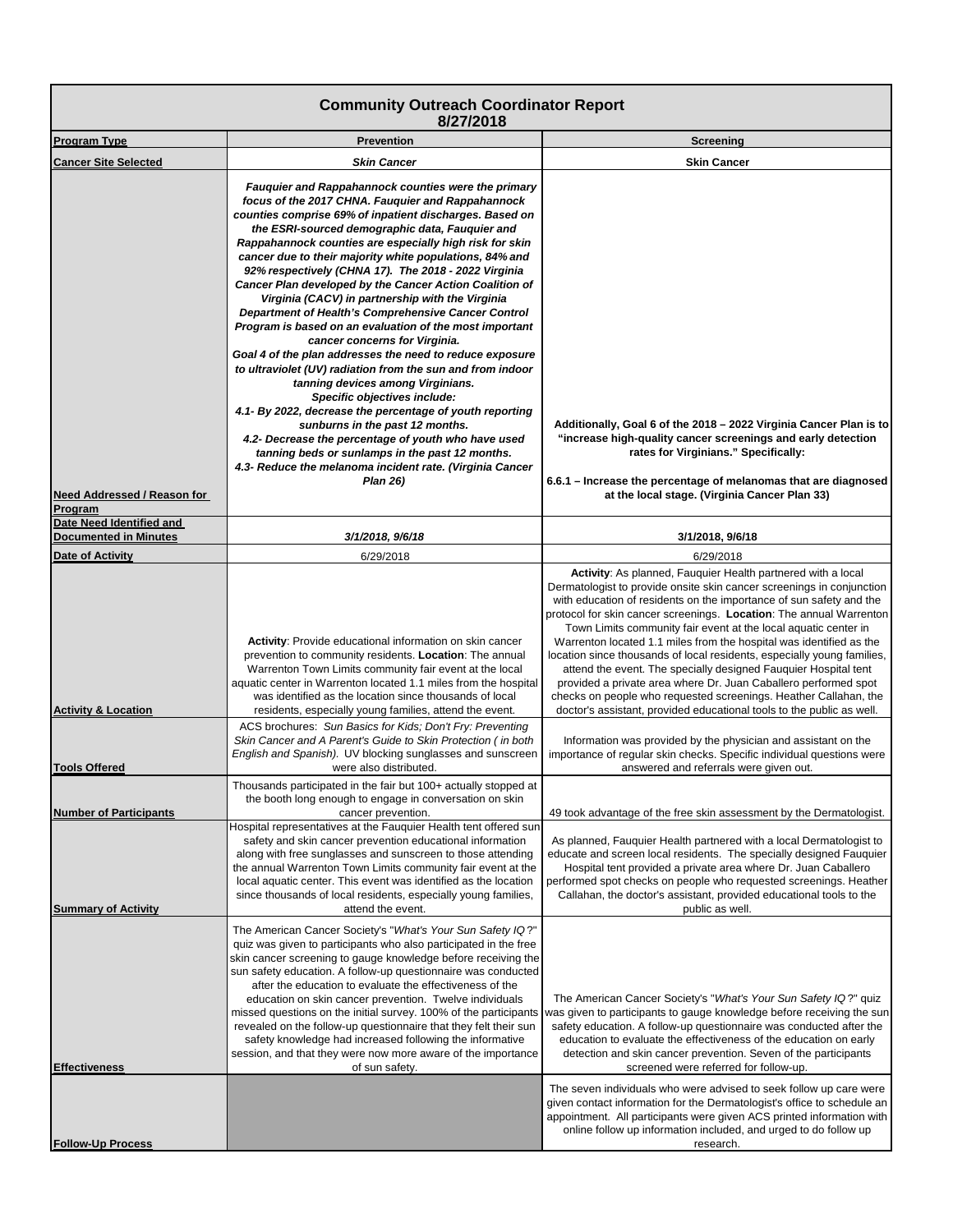| <b>Community Outreach Coordinator Report</b><br>8/27/2018          |                                                                                                                                                                                                                                                                                                                                                                                                                                                                                                                                                                                                                                                                                                                                                                                                                                                                                                                                                                                                                                                                                                                                                               |                                                                                                                                                                                                                                                                                                                                                                                                                                                                                                                                                                                                                                                                                                                                                                                             |
|--------------------------------------------------------------------|---------------------------------------------------------------------------------------------------------------------------------------------------------------------------------------------------------------------------------------------------------------------------------------------------------------------------------------------------------------------------------------------------------------------------------------------------------------------------------------------------------------------------------------------------------------------------------------------------------------------------------------------------------------------------------------------------------------------------------------------------------------------------------------------------------------------------------------------------------------------------------------------------------------------------------------------------------------------------------------------------------------------------------------------------------------------------------------------------------------------------------------------------------------|---------------------------------------------------------------------------------------------------------------------------------------------------------------------------------------------------------------------------------------------------------------------------------------------------------------------------------------------------------------------------------------------------------------------------------------------------------------------------------------------------------------------------------------------------------------------------------------------------------------------------------------------------------------------------------------------------------------------------------------------------------------------------------------------|
| <b>Program Type</b>                                                | <b>Prevention</b>                                                                                                                                                                                                                                                                                                                                                                                                                                                                                                                                                                                                                                                                                                                                                                                                                                                                                                                                                                                                                                                                                                                                             | Screening                                                                                                                                                                                                                                                                                                                                                                                                                                                                                                                                                                                                                                                                                                                                                                                   |
| <b>Cancer Site Selected</b>                                        | <b>Skin Cancer</b>                                                                                                                                                                                                                                                                                                                                                                                                                                                                                                                                                                                                                                                                                                                                                                                                                                                                                                                                                                                                                                                                                                                                            | <b>Skin Cancer</b>                                                                                                                                                                                                                                                                                                                                                                                                                                                                                                                                                                                                                                                                                                                                                                          |
| Need Addressed / Reason for<br>Program<br>Date Need Identified and | Fauguier and Rappahannock counties were the primary<br>focus of the 2017 CHNA. Fauquier and Rappahannock<br>counties comprise 69% of inpatient discharges. Based on<br>the ESRI-sourced demographic data, Fauquier and<br>Rappahannock counties are especially high risk for skin<br>cancer due to their majority white populations, 84% and<br>92% respectively (CHNA 17). The 2018 - 2022 Virginia<br>Cancer Plan developed by the Cancer Action Coalition of<br>Virginia (CACV) in partnership with the Virginia<br>Department of Health's Comprehensive Cancer Control<br>Program is based on an evaluation of the most important<br>cancer concerns for Virginia.<br>Goal 4 of the plan addresses the need to reduce exposure<br>to ultraviolet (UV) radiation from the sun and from indoor<br>tanning devices among Virginians.<br>Specific objectives include:<br>4.1- By 2022, decrease the percentage of youth reporting<br>sunburns in the past 12 months.<br>4.2- Decrease the percentage of youth who have used<br>tanning beds or sunlamps in the past 12 months.<br>4.3- Reduce the melanoma incident rate. (Virginia Cancer<br><b>Plan 26)</b> | Additionally, Goal 6 of the 2018 - 2022 Virginia Cancer Plan is to<br>"increase high-quality cancer screenings and early detection<br>rates for Virginians." Specifically:<br>6.6.1 – Increase the percentage of melanomas that are diagnosed<br>at the local stage. (Virginia Cancer Plan 33)                                                                                                                                                                                                                                                                                                                                                                                                                                                                                              |
| <b>Documented in Minutes</b>                                       | 3/1/2018, 9/6/18                                                                                                                                                                                                                                                                                                                                                                                                                                                                                                                                                                                                                                                                                                                                                                                                                                                                                                                                                                                                                                                                                                                                              | 3/1/2018, 9/6/18                                                                                                                                                                                                                                                                                                                                                                                                                                                                                                                                                                                                                                                                                                                                                                            |
| <b>Date of Activity</b>                                            | 6/29/2018                                                                                                                                                                                                                                                                                                                                                                                                                                                                                                                                                                                                                                                                                                                                                                                                                                                                                                                                                                                                                                                                                                                                                     | 6/29/2018                                                                                                                                                                                                                                                                                                                                                                                                                                                                                                                                                                                                                                                                                                                                                                                   |
| <b>Activity &amp; Location</b>                                     | Activity: Provide educational information on skin cancer<br>prevention to community residents. Location: The annual<br>Warrenton Town Limits community fair event at the local<br>aquatic center in Warrenton located 1.1 miles from the hospital<br>was identified as the location since thousands of local<br>residents, especially young families, attend the event.                                                                                                                                                                                                                                                                                                                                                                                                                                                                                                                                                                                                                                                                                                                                                                                       | Activity: As planned, Fauquier Health partnered with a local<br>Dermatologist to provide onsite skin cancer screenings in conjunction<br>with education of residents on the importance of sun safety and the<br>protocol for skin cancer screenings. Location: The annual Warrenton<br>Town Limits community fair event at the local aquatic center in<br>Warrenton located 1.1 miles from the hospital was identified as the<br>location since thousands of local residents, especially young families,<br>attend the event. The specially designed Fauquier Hospital tent<br>provided a private area where Dr. Juan Caballero performed spot<br>checks on people who requested screenings. Heather Callahan, the<br>doctor's assistant, provided educational tools to the public as well. |
| <b>Tools Offered</b>                                               | ACS brochures: Sun Basics for Kids; Don't Fry: Preventing<br>Skin Cancer and A Parent's Guide to Skin Protection (in both<br>English and Spanish). UV blocking sunglasses and sunscreen<br>were also distributed.                                                                                                                                                                                                                                                                                                                                                                                                                                                                                                                                                                                                                                                                                                                                                                                                                                                                                                                                             | Information was provided by the physician and assistant on the<br>importance of regular skin checks. Specific individual questions were<br>answered and referrals were given out.                                                                                                                                                                                                                                                                                                                                                                                                                                                                                                                                                                                                           |
| <b>Number of Participants</b><br><b>Summary of Activity</b>        | Thousands participated in the fair but 100+ actually stopped at<br>the booth long enough to engage in conversation on skin<br>cancer prevention.<br>Hospital representatives at the Fauguier Health tent offered sun<br>safety and skin cancer prevention educational information<br>along with free sunglasses and sunscreen to those attending<br>the annual Warrenton Town Limits community fair event at the<br>local aquatic center. This event was identified as the location<br>since thousands of local residents, especially young families,<br>attend the event.                                                                                                                                                                                                                                                                                                                                                                                                                                                                                                                                                                                    | 49 took advantage of the free skin assessment by the Dermatologist.<br>As planned, Fauguier Health partnered with a local Dermatologist to<br>educate and screen local residents. The specially designed Fauquier<br>Hospital tent provided a private area where Dr. Juan Caballero<br>performed spot checks on people who requested screenings. Heather<br>Callahan, the doctor's assistant, provided educational tools to the<br>public as well.                                                                                                                                                                                                                                                                                                                                          |
| Effectiveness                                                      | The American Cancer Society's "What's Your Sun Safety IQ?"<br>quiz was given to participants who also participated in the free<br>skin cancer screening to gauge knowledge before receiving the<br>sun safety education. A follow-up questionnaire was conducted<br>after the education to evaluate the effectiveness of the<br>education on skin cancer prevention. Twelve individuals<br>missed questions on the initial survey. 100% of the participants<br>revealed on the follow-up questionnaire that they felt their sun<br>safety knowledge had increased following the informative<br>session, and that they were now more aware of the importance<br>of sun safety.                                                                                                                                                                                                                                                                                                                                                                                                                                                                                 | The American Cancer Society's "What's Your Sun Safety IQ?" quiz<br>was given to participants to gauge knowledge before receiving the sun<br>safety education. A follow-up questionnaire was conducted after the<br>education to evaluate the effectiveness of the education on early<br>detection and skin cancer prevention. Seven of the participants<br>screened were referred for follow-up.<br>The seven individuals who were advised to seek follow up care were<br>given contact information for the Dermatologist's office to schedule an<br>appointment. All participants were given ACS printed information with                                                                                                                                                                  |
| <b>Follow-Up Process</b>                                           |                                                                                                                                                                                                                                                                                                                                                                                                                                                                                                                                                                                                                                                                                                                                                                                                                                                                                                                                                                                                                                                                                                                                                               | online follow up information included, and urged to do follow up<br>research.                                                                                                                                                                                                                                                                                                                                                                                                                                                                                                                                                                                                                                                                                                               |